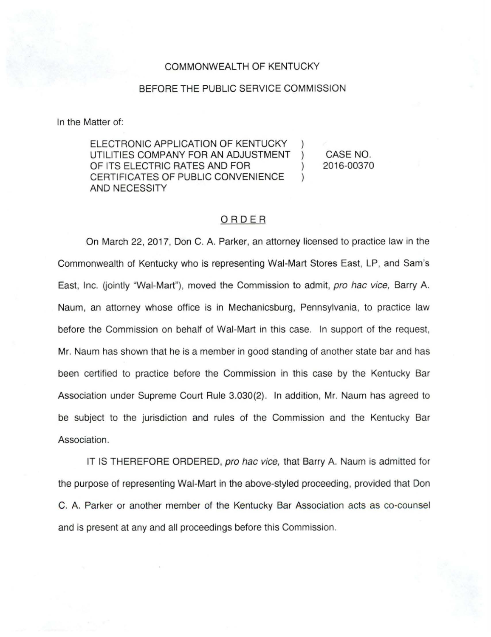## COMMONWEALTH OF KENTUCKY

## BEFORE THE PUBLIC SERVICE COMMISSION

In the Matter of:

ELECTRONIC APPLICATION OF KENTUCKY UTILITIES COMPANY FOR AN ADJUSTMENT OF ITS ELECTRIC RATES AND FOR CERTIFICATES OF PUBLIC CONVENIENCE ) AND NECESSITY

CASE NO. 2016-00370

## ORDER

On March 22, 2017, Don C. A. Parker, an attorney licensed to practice law in the Commonwealth of Kentucky who is representing Wai-Mart Stores East, LP, and Sam's East, Inc. (jointly "Wal-Mart"), moved the Commission to admit, pro hac vice, Barry A. Naum, an attorney whose office is in Mechanicsburg, Pennsylvania, to practice law before the Commission on behalf of Wai-Mart in this case. In support of the request, Mr. Naum has shown that he is a member in good standing of another state bar and has been certified to practice before the Commission in this case by the Kentucky Bar Association under Supreme Court Rule 3.030(2). In addition, Mr. Naum has agreed to be subject to the jurisdiction and rules of the Commission and the Kentucky Bar Association.

IT IS THEREFORE ORDERED, pro hac vice, that Barry A. Naum is admitted for the purpose of representing Wai-Mart in the above-styled proceeding, provided that Don C. A. Parker or another member of the Kentucky Bar Association acts as co-counsel and is present at any and all proceedings before this Commission.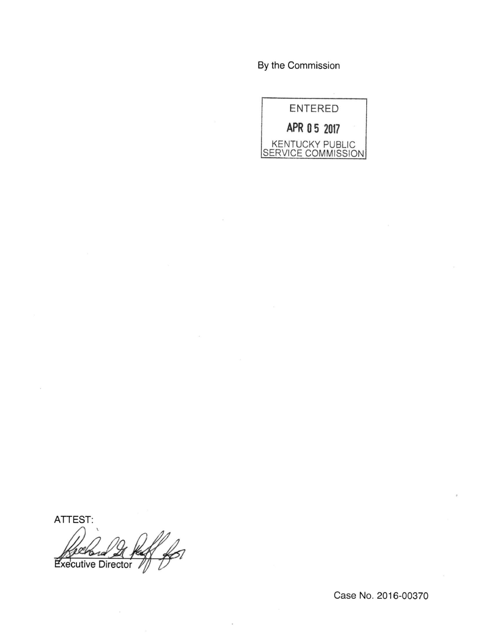By the Commission



ATTEST:

xecutive Director

Case No. 2016-00370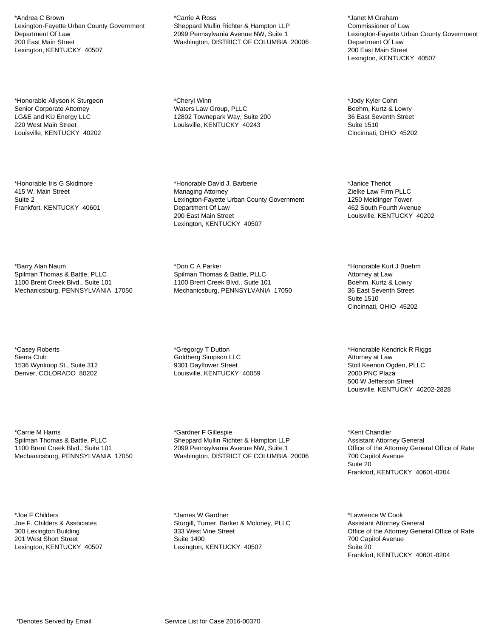\*Andrea C Brown Lexington-Fayette Urban County Government Department Of Law 200 East Main Street Lexington, KENTUCKY 40507

\*Honorable Allyson K Sturgeon Senior Corporate Attorney LG&E and KU Energy LLC 220 West Main Street Louisville, KENTUCKY 40202

\*Honorable Iris G Skidmore 415 W. Main Street Suite 2 Frankfort, KENTUCKY 40601

\*Barry Alan Naum Spilman Thomas & Battle, PLLC 1100 Brent Creek Blvd., Suite 101 Mechanicsburg, PENNSYLVANIA 17050

\*Casey Roberts Sierra Club 1536 Wynkoop St., Suite 312 Denver, COLORADO 80202

\*Carrie M Harris Spilman Thomas & Battle, PLLC 1100 Brent Creek Blvd., Suite 101 Mechanicsburg, PENNSYLVANIA 17050

\*Joe F Childers Joe F. Childers & Associates 300 Lexington Building 201 West Short Street Lexington, KENTUCKY 40507 \*Carrie A Ross Sheppard Mullin Richter & Hampton LLP 2099 Pennsylvania Avenue NW, Suite 1 Washington, DISTRICT OF COLUMBIA 20006

\*Cheryl Winn Waters Law Group, PLLC 12802 Townepark Way, Suite 200 Louisville, KENTUCKY 40243

\*Honorable David J. Barberie Managing Attorney Lexington-Fayette Urban County Government Department Of Law 200 East Main Street Lexington, KENTUCKY 40507

\*Don C A Parker Spilman Thomas & Battle, PLLC 1100 Brent Creek Blvd., Suite 101 Mechanicsburg, PENNSYLVANIA 17050

\*Gregorgy T Dutton Goldberg Simpson LLC 9301 Dayflower Street Louisville, KENTUCKY 40059

\*Gardner F Gillespie Sheppard Mullin Richter & Hampton LLP 2099 Pennsylvania Avenue NW, Suite 1 Washington, DISTRICT OF COLUMBIA 20006

\*James W Gardner Sturgill, Turner, Barker & Moloney, PLLC 333 West Vine Street Suite 1400 Lexington, KENTUCKY 40507

\*Janet M Graham Commissioner of Law Lexington-Fayette Urban County Government Department Of Law 200 East Main Street Lexington, KENTUCKY 40507

\*Jody Kyler Cohn Boehm, Kurtz & Lowry 36 East Seventh Street Suite 1510 Cincinnati, OHIO 45202

\*Janice Theriot Zielke Law Firm PLLC 1250 Meidinger Tower 462 South Fourth Avenue Louisville, KENTUCKY 40202

\*Honorable Kurt J Boehm Attorney at Law Boehm, Kurtz & Lowry 36 East Seventh Street Suite 1510 Cincinnati, OHIO 45202

\*Honorable Kendrick R Riggs Attorney at Law Stoll Keenon Ogden, PLLC 2000 PNC Plaza 500 W Jefferson Street Louisville, KENTUCKY 40202-2828

\*Kent Chandler Assistant Attorney General Office of the Attorney General Office of Rate 700 Capitol Avenue Suite 20 Frankfort, KENTUCKY 40601-8204

\*Lawrence W Cook Assistant Attorney General Office of the Attorney General Office of Rate 700 Capitol Avenue Suite 20 Frankfort, KENTUCKY 40601-8204